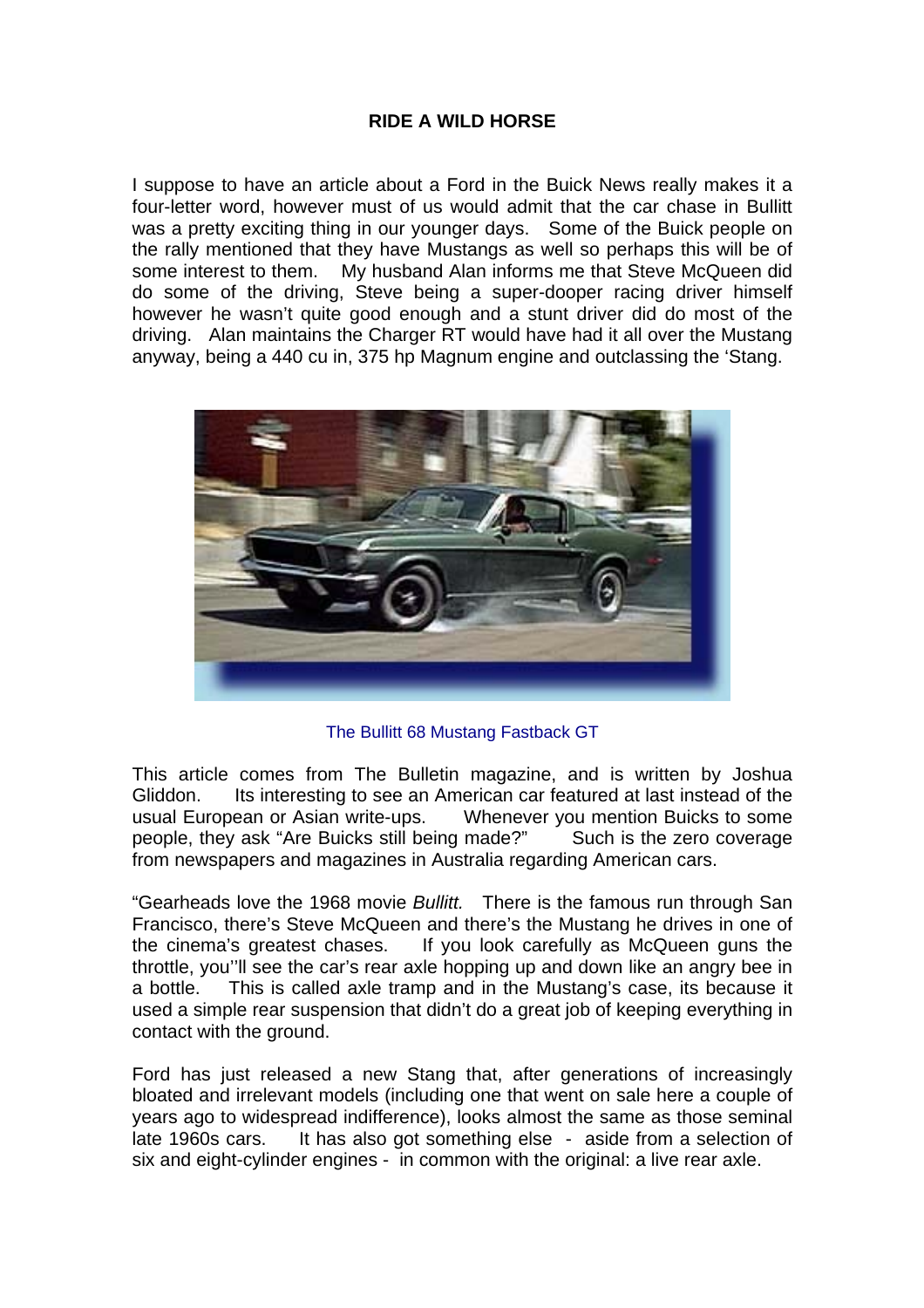## **RIDE A WILD HORSE**

I suppose to have an article about a Ford in the Buick News really makes it a four-letter word, however must of us would admit that the car chase in Bullitt was a pretty exciting thing in our younger days. Some of the Buick people on the rally mentioned that they have Mustangs as well so perhaps this will be of some interest to them. My husband Alan informs me that Steve McQueen did do some of the driving, Steve being a super-dooper racing driver himself however he wasn't quite good enough and a stunt driver did do most of the driving. Alan maintains the Charger RT would have had it all over the Mustang anyway, being a 440 cu in, 375 hp Magnum engine and outclassing the 'Stang.



The Bullitt 68 Mustang Fastback GT

This article comes from The Bulletin magazine, and is written by Joshua Gliddon. Its interesting to see an American car featured at last instead of the usual European or Asian write-ups. Whenever you mention Buicks to some people, they ask "Are Buicks still being made?" Such is the zero coverage from newspapers and magazines in Australia regarding American cars.

"Gearheads love the 1968 movie *Bullitt.* There is the famous run through San Francisco, there's Steve McQueen and there's the Mustang he drives in one of the cinema's greatest chases. If you look carefully as McQueen guns the throttle, you''ll see the car's rear axle hopping up and down like an angry bee in a bottle. This is called axle tramp and in the Mustang's case, its because it used a simple rear suspension that didn't do a great job of keeping everything in contact with the ground.

Ford has just released a new Stang that, after generations of increasingly bloated and irrelevant models (including one that went on sale here a couple of years ago to widespread indifference), looks almost the same as those seminal late 1960s cars. It has also got something else - aside from a selection of six and eight-cylinder engines - in common with the original: a live rear axle.